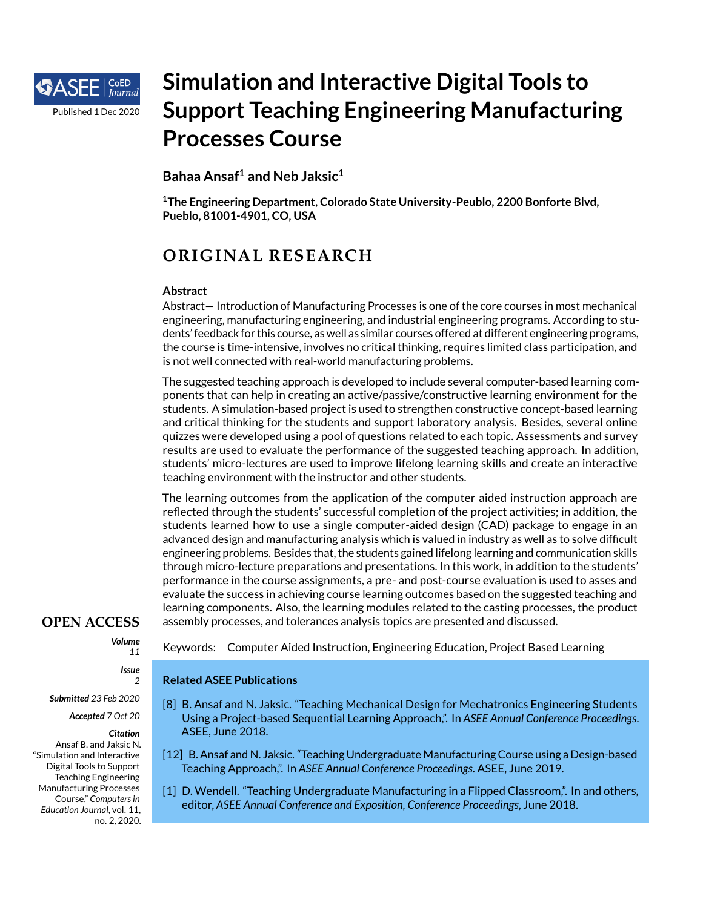

# **Simulation and Interactive Digital Tools to Support Teaching Engineering Manufacturing Processes Course**

**Bahaa Ansaf<sup>1</sup> and Neb Jaksic<sup>1</sup>**

**<sup>1</sup>The Engineering Department, Colorado State University-Peublo, 2200 Bonforte Blvd, Pueblo, 81001-4901, CO, USA**

## **OR IG INAL RESEARCH**

#### **Abstract**

Abstract— Introduction of Manufacturing Processes is one of the core courses in most mechanical engineering, manufacturing engineering, and industrial engineering programs. According to students' feedback for this course, as well as similar courses offered at different engineering programs, the course is time-intensive, involves no critical thinking, requires limited class participation, and is not well connected with real-world manufacturing problems.

The suggested teaching approach is developed to include several computer-based learning components that can help in creating an active/passive/constructive learning environment for the students. A simulation-based project is used to strengthen constructive concept-based learning and critical thinking for the students and support laboratory analysis. Besides, several online quizzes were developed using a pool of questions related to each topic. Assessments and survey results are used to evaluate the performance of the suggested teaching approach. In addition, students' micro-lectures are used to improve lifelong learning skills and create an interactive teaching environment with the instructor and other students.

The learning outcomes from the application of the computer aided instruction approach are reflected through the students' successful completion of the project activities; in addition, the students learned how to use a single computer-aided design (CAD) package to engage in an advanced design and manufacturing analysis which is valued in industry as well as to solve difficult engineering problems. Besides that, the students gained lifelong learning and communication skills through micro-lecture preparations and presentations. In this work, in addition to the students' performance in the course assignments, a pre- and post-course evaluation is used to asses and evaluate the success in achieving course learning outcomes based on the suggested teaching and learning components. Also, the learning modules related to the casting processes, the product assembly processes, and tolerances analysis topics are presented and discussed.

### **OPEN ACCESS**

*Volume*

*11 Issue*

### *2*

*Submitted 23 Feb 2020*

#### *Accepted 7 Oct 20*

*Citation* Ansaf B. and Jaksic N. "Simulation and Interactive Digital Tools to Support Teaching Engineering Manufacturing Processes Course," *Computers in Education Journal*, vol. 11, no. 2, 2020. Keywords: Computer Aided Instruction, Engineering Education, Project Based Learning

### **Related ASEE Publications**

- <span id="page-0-1"></span>[8] B. Ansaf and N. Jaksic. "Teaching Mechanical Design for Mechatronics Engineering Students Using a Project-based Sequential Learning Approach,". In *ASEE Annual Conference Proceedings*. ASEE, June 2018.
- <span id="page-0-2"></span>[12] B. Ansaf and N. Jaksic. "Teaching Undergraduate Manufacturing Course using a Design-based Teaching Approach,". In *ASEE Annual Conference Proceedings*. ASEE, June 2019.
- <span id="page-0-0"></span>[1] D. Wendell. "Teaching Undergraduate Manufacturing in a Flipped Classroom,". In and others, editor, *ASEE Annual Conference and Exposition, Conference Proceedings*, June 2018.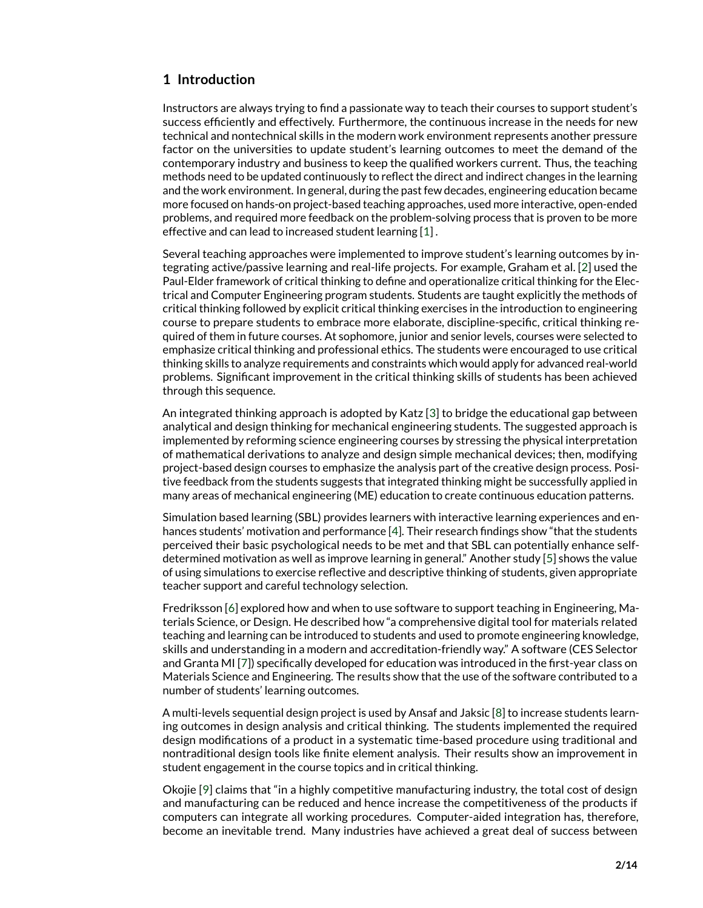### **1 Introduction**

Instructors are always trying to find a passionate way to teach their courses to support student's success efficiently and effectively. Furthermore, the continuous increase in the needs for new technical and nontechnical skills in the modern work environment represents another pressure factor on the universities to update student's learning outcomes to meet the demand of the contemporary industry and business to keep the qualified workers current. Thus, the teaching methods need to be updated continuously to reflect the direct and indirect changes in the learning and the work environment. In general, during the past few decades, engineering education became more focused on hands-on project-based teaching approaches, used more interactive, open-ended problems, and required more feedback on the problem-solving process that is proven to be more effective and can lead to increased student learning [\[1\]](#page-0-0) .

Several teaching approaches were implemented to improve student's learning outcomes by integrating active/passive learning and real-life projects. For example, Graham et al. [\[2\]](#page-12-0) used the Paul-Elder framework of critical thinking to define and operationalize critical thinking for the Electrical and Computer Engineering program students. Students are taught explicitly the methods of critical thinking followed by explicit critical thinking exercises in the introduction to engineering course to prepare students to embrace more elaborate, discipline-specific, critical thinking required of them in future courses. At sophomore, junior and senior levels, courses were selected to emphasize critical thinking and professional ethics. The students were encouraged to use critical thinking skills to analyze requirements and constraints which would apply for advanced real-world problems. Significant improvement in the critical thinking skills of students has been achieved through this sequence.

An integrated thinking approach is adopted by Katz [\[3\]](#page-12-1) to bridge the educational gap between analytical and design thinking for mechanical engineering students. The suggested approach is implemented by reforming science engineering courses by stressing the physical interpretation of mathematical derivations to analyze and design simple mechanical devices; then, modifying project-based design courses to emphasize the analysis part of the creative design process. Positive feedback from the students suggests that integrated thinking might be successfully applied in many areas of mechanical engineering (ME) education to create continuous education patterns.

Simulation based learning (SBL) provides learners with interactive learning experiences and enhances students' motivation and performance [\[4\]](#page-12-2). Their research findings show "that the students perceived their basic psychological needs to be met and that SBL can potentially enhance selfdetermined motivation as well as improve learning in general." Another study [\[5\]](#page-12-3) shows the value of using simulations to exercise reflective and descriptive thinking of students, given appropriate teacher support and careful technology selection.

Fredriksson [\[6\]](#page-13-0) explored how and when to use software to support teaching in Engineering, Materials Science, or Design. He described how "a comprehensive digital tool for materials related teaching and learning can be introduced to students and used to promote engineering knowledge, skills and understanding in a modern and accreditation-friendly way." A software (CES Selector and Granta MI [\[7\]](#page-13-1)) specifically developed for education was introduced in the first-year class on Materials Science and Engineering. The results show that the use of the software contributed to a number of students' learning outcomes.

A multi-levels sequential design project is used by Ansaf and Jaksic [\[8\]](#page-0-1) to increase students learning outcomes in design analysis and critical thinking. The students implemented the required design modifications of a product in a systematic time-based procedure using traditional and nontraditional design tools like finite element analysis. Their results show an improvement in student engagement in the course topics and in critical thinking.

Okojie [\[9\]](#page-13-2) claims that "in a highly competitive manufacturing industry, the total cost of design and manufacturing can be reduced and hence increase the competitiveness of the products if computers can integrate all working procedures. Computer-aided integration has, therefore, become an inevitable trend. Many industries have achieved a great deal of success between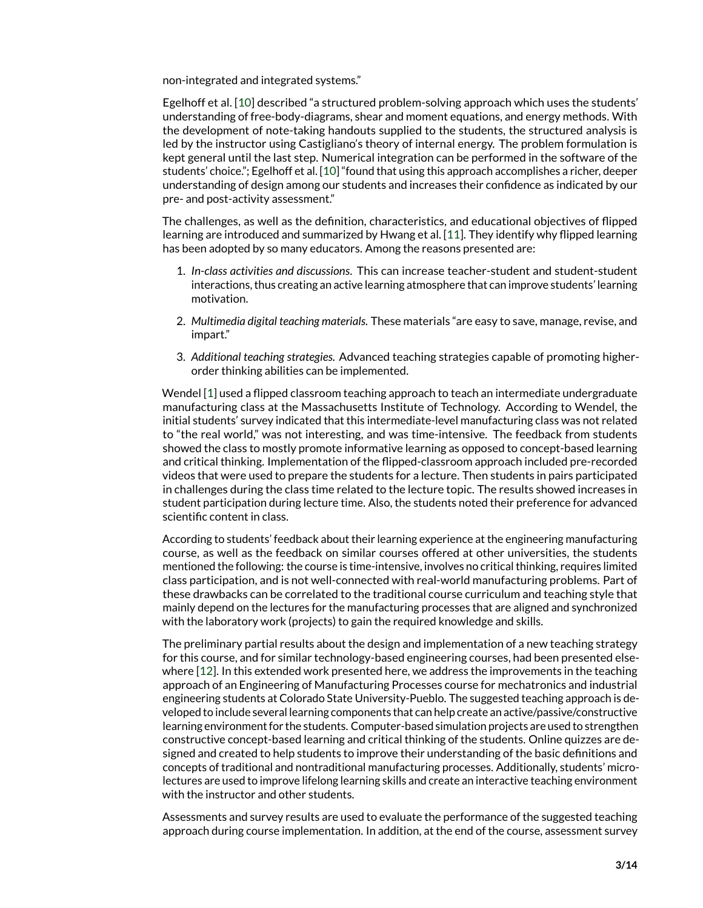non-integrated and integrated systems."

Egelhoff et al. [\[10\]](#page-13-3) described "a structured problem-solving approach which uses the students' understanding of free-body-diagrams, shear and moment equations, and energy methods. With the development of note-taking handouts supplied to the students, the structured analysis is led by the instructor using Castigliano's theory of internal energy. The problem formulation is kept general until the last step. Numerical integration can be performed in the software of the students' choice."; Egelhoff et al. [\[10\]](#page-13-3) "found that using this approach accomplishes a richer, deeper understanding of design among our students and increases their confidence as indicated by our pre- and post-activity assessment."

The challenges, as well as the definition, characteristics, and educational objectives of flipped learning are introduced and summarized by Hwang et al. [\[11\]](#page-13-4). They identify why flipped learning has been adopted by so many educators. Among the reasons presented are:

- 1. *In-class activities and discussions*. This can increase teacher-student and student-student interactions, thus creating an active learning atmosphere that can improve students' learning motivation.
- 2. *Multimedia digital teaching materials.* These materials "are easy to save, manage, revise, and impart."
- 3. *Additional teaching strategies.* Advanced teaching strategies capable of promoting higherorder thinking abilities can be implemented.

Wendel [\[1\]](#page-0-0) used a flipped classroom teaching approach to teach an intermediate undergraduate manufacturing class at the Massachusetts Institute of Technology. According to Wendel, the initial students' survey indicated that this intermediate-level manufacturing class was not related to "the real world," was not interesting, and was time-intensive. The feedback from students showed the class to mostly promote informative learning as opposed to concept-based learning and critical thinking. Implementation of the flipped-classroom approach included pre-recorded videos that were used to prepare the students for a lecture. Then students in pairs participated in challenges during the class time related to the lecture topic. The results showed increases in student participation during lecture time. Also, the students noted their preference for advanced scientific content in class.

According to students' feedback about their learning experience at the engineering manufacturing course, as well as the feedback on similar courses offered at other universities, the students mentioned the following: the course is time-intensive, involves no critical thinking, requires limited class participation, and is not well-connected with real-world manufacturing problems. Part of these drawbacks can be correlated to the traditional course curriculum and teaching style that mainly depend on the lectures for the manufacturing processes that are aligned and synchronized with the laboratory work (projects) to gain the required knowledge and skills.

The preliminary partial results about the design and implementation of a new teaching strategy for this course, and for similar technology-based engineering courses, had been presented elsewhere [\[12\]](#page-0-2). In this extended work presented here, we address the improvements in the teaching approach of an Engineering of Manufacturing Processes course for mechatronics and industrial engineering students at Colorado State University-Pueblo. The suggested teaching approach is developed to include several learning components that can help create an active/passive/constructive learning environment for the students. Computer-based simulation projects are used to strengthen constructive concept-based learning and critical thinking of the students. Online quizzes are designed and created to help students to improve their understanding of the basic definitions and concepts of traditional and nontraditional manufacturing processes. Additionally, students' microlectures are used to improve lifelong learning skills and create an interactive teaching environment with the instructor and other students.

Assessments and survey results are used to evaluate the performance of the suggested teaching approach during course implementation. In addition, at the end of the course, assessment survey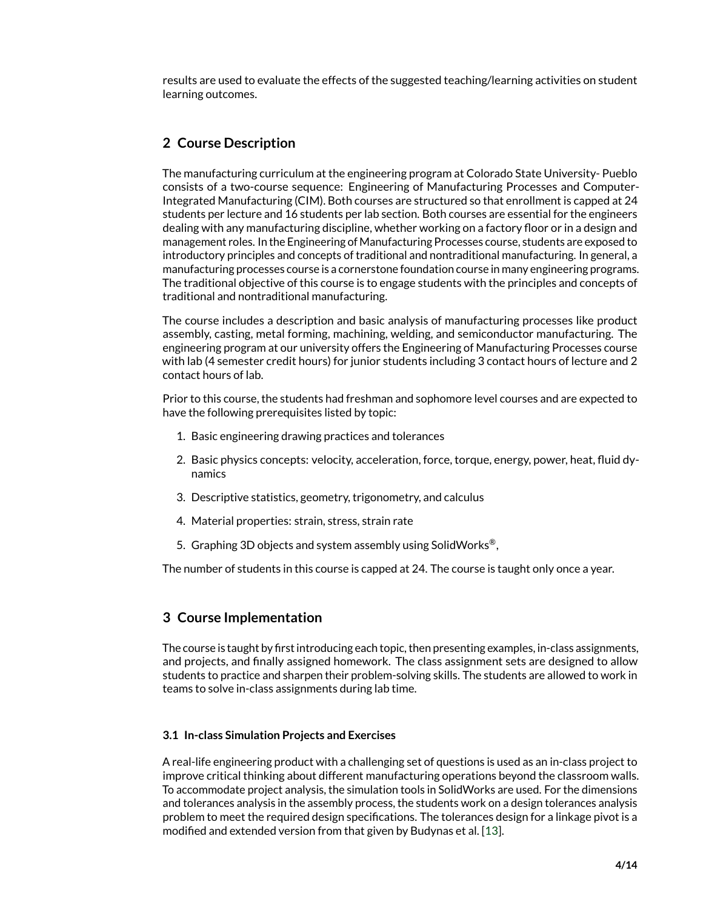results are used to evaluate the effects of the suggested teaching/learning activities on student learning outcomes.

### **2 Course Description**

The manufacturing curriculum at the engineering program at Colorado State University- Pueblo consists of a two-course sequence: Engineering of Manufacturing Processes and Computer-Integrated Manufacturing (CIM). Both courses are structured so that enrollment is capped at 24 students per lecture and 16 students per lab section. Both courses are essential for the engineers dealing with any manufacturing discipline, whether working on a factory floor or in a design and management roles. In the Engineering of Manufacturing Processes course, students are exposed to introductory principles and concepts of traditional and nontraditional manufacturing. In general, a manufacturing processes course is a cornerstone foundation course in many engineering programs. The traditional objective of this course is to engage students with the principles and concepts of traditional and nontraditional manufacturing.

The course includes a description and basic analysis of manufacturing processes like product assembly, casting, metal forming, machining, welding, and semiconductor manufacturing. The engineering program at our university offers the Engineering of Manufacturing Processes course with lab (4 semester credit hours) for junior students including 3 contact hours of lecture and 2 contact hours of lab.

Prior to this course, the students had freshman and sophomore level courses and are expected to have the following prerequisites listed by topic:

- 1. Basic engineering drawing practices and tolerances
- 2. Basic physics concepts: velocity, acceleration, force, torque, energy, power, heat, fluid dynamics
- 3. Descriptive statistics, geometry, trigonometry, and calculus
- 4. Material properties: strain, stress, strain rate
- 5. Graphing 3D objects and system assembly using SolidWorks<sup>®</sup>,

The number of students in this course is capped at 24. The course is taught only once a year.

### **3 Course Implementation**

The course is taught by first introducing each topic, then presenting examples, in-class assignments, and projects, and finally assigned homework. The class assignment sets are designed to allow students to practice and sharpen their problem-solving skills. The students are allowed to work in teams to solve in-class assignments during lab time.

### **3.1 In-class Simulation Projects and Exercises**

A real-life engineering product with a challenging set of questions is used as an in-class project to improve critical thinking about different manufacturing operations beyond the classroom walls. To accommodate project analysis, the simulation tools in SolidWorks are used. For the dimensions and tolerances analysis in the assembly process, the students work on a design tolerances analysis problem to meet the required design specifications. The tolerances design for a linkage pivot is a modified and extended version from that given by Budynas et al. [\[13\]](#page-13-5).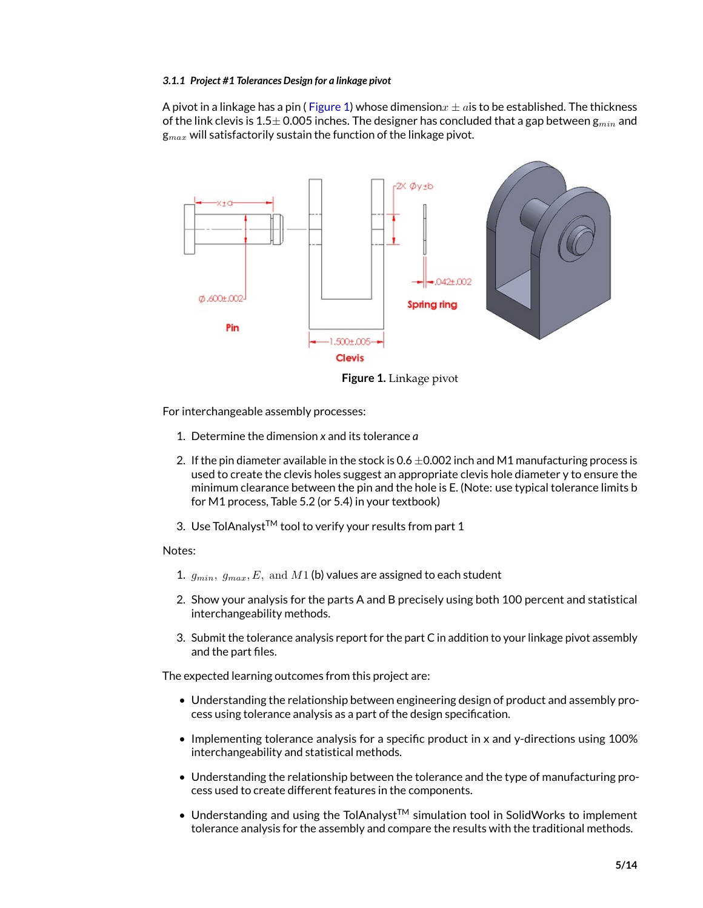#### *3.1.1 Project #1 Tolerances Design for a linkage pivot*

A pivot in a linkage has a pin ([Figure 1\)](#page-4-0) whose dimension  $x \pm a$  is to be established. The thickness of the link clevis is 1.5 $\pm$  0.005 inches. The designer has concluded that a gap between  $g_{min}$  and  $g_{max}$  will satisfactorily sustain the function of the linkage pivot.



<span id="page-4-0"></span>**Figure 1.** Linkage pivot

For interchangeable assembly processes:

- 1. Determine the dimension *x* and its tolerance *a*
- 2. If the pin diameter available in the stock is  $0.6 \pm 0.002$  inch and M1 manufacturing process is used to create the clevis holes suggest an appropriate clevis hole diameter y to ensure the minimum clearance between the pin and the hole is E. (Note: use typical tolerance limits b for M1 process, Table 5.2 (or 5.4) in your textbook)
- 3. Use TolAnalyst<sup>TM</sup> tool to verify your results from part 1

#### Notes:

- 1.  $g_{min}, g_{max}, E$ , and  $M1$  (b) values are assigned to each student
- 2. Show your analysis for the parts A and B precisely using both 100 percent and statistical interchangeability methods.
- 3. Submit the tolerance analysis report for the part C in addition to your linkage pivot assembly and the part files.

The expected learning outcomes from this project are:

- Understanding the relationship between engineering design of product and assembly process using tolerance analysis as a part of the design specification.
- Implementing tolerance analysis for a specific product in x and y-directions using 100% interchangeability and statistical methods.
- Understanding the relationship between the tolerance and the type of manufacturing process used to create different features in the components.
- Understanding and using the TolAnalyst<sup>TM</sup> simulation tool in SolidWorks to implement tolerance analysis for the assembly and compare the results with the traditional methods.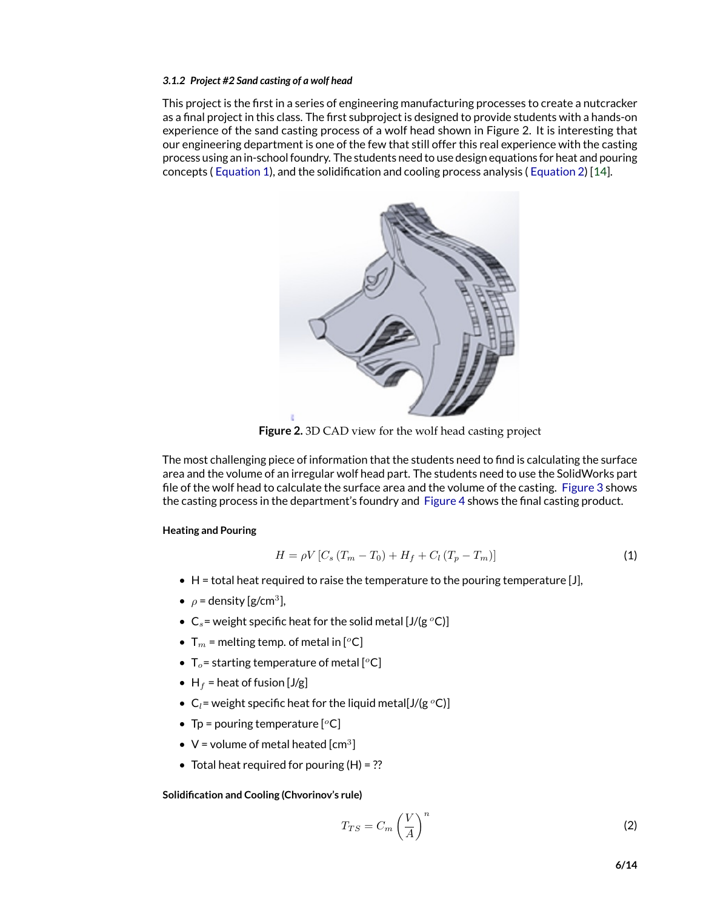#### *3.1.2 Project #2 Sand casting of a wolf head*

This project is the first in a series of engineering manufacturing processes to create a nutcracker as a final project in this class. The first subproject is designed to provide students with a hands-on experience of the sand casting process of a wolf head shown in Figure 2. It is interesting that our engineering department is one of the few that still offer this real experience with the casting process using an in-school foundry. The students need to use design equations for heat and pouring concepts ( [Equation 1\)](#page-5-0), and the solidification and cooling process analysis ( [Equation 2\)](#page-5-0) [\[14\]](#page-13-6).



**Figure 2.** 3D CAD view for the wolf head casting project

The most challenging piece of information that the students need to find is calculating the surface area and the volume of an irregular wolf head part. The students need to use the SolidWorks part file of the wolf head to calculate the surface area and the volume of the casting. [Figure 3](#page-6-0) shows the casting process in the department's foundry and [Figure 4](#page-7-0) shows the final casting product.

#### **Heating and Pouring**

<span id="page-5-0"></span>
$$
H = \rho V \left[ C_s \left( T_m - T_0 \right) + H_f + C_l \left( T_p - T_m \right) \right] \tag{1}
$$

- $\bullet$  H = total heat required to raise the temperature to the pouring temperature [J],
- $\rho$  = density [g/cm<sup>3</sup>],
- $C_s$  = weight specific heat for the solid metal [J/(g  $^oC$ )]
- $T_m$  = melting temp. of metal in [<sup>o</sup>C]
- $T_o$  = starting temperature of metal [<sup> $o$ </sup>C]
- H<sub>f</sub> = heat of fusion  $[J/g]$
- $C_l$  = weight specific heat for the liquid metal[J/(g  $^oC$ )]
- Tp = pouring temperature  $[°C]$
- $V =$  volume of metal heated [cm<sup>3</sup>]
- Total heat required for pouring  $(H) = ??$

#### **Solidification and Cooling (Chvorinov's rule)**

$$
T_{TS} = C_m \left(\frac{V}{A}\right)^n \tag{2}
$$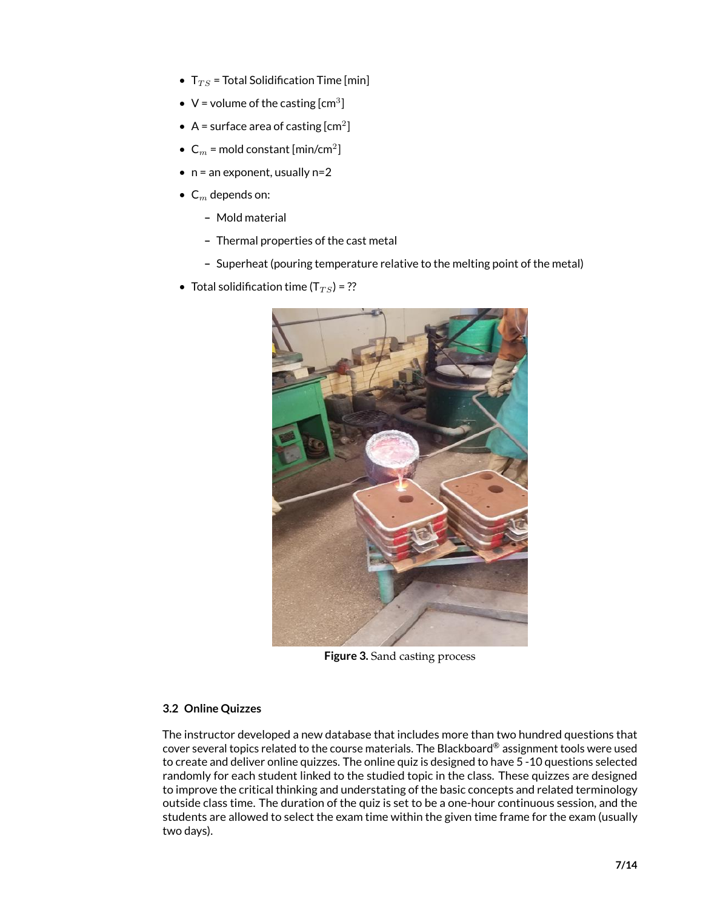- $T_{TS}$  = Total Solidification Time [min]
- $V =$  volume of the casting  $[cm^3]$
- A = surface area of casting  $[cm^2]$
- $C_m$  = mold constant [min/cm<sup>2</sup>]
- $\bullet$  n = an exponent, usually n=2
- $C_m$  depends on:
	- **–** Mold material
	- **–** Thermal properties of the cast metal
	- **–** Superheat (pouring temperature relative to the melting point of the metal)
- Total solidification time  $(T_{TS})$  = ??



**Figure 3.** Sand casting process

### <span id="page-6-0"></span>**3.2 Online Quizzes**

The instructor developed a new database that includes more than two hundred questions that cover several topics related to the course materials. The Blackboard® assignment tools were used to create and deliver online quizzes. The online quiz is designed to have 5 -10 questions selected randomly for each student linked to the studied topic in the class. These quizzes are designed to improve the critical thinking and understating of the basic concepts and related terminology outside class time. The duration of the quiz is set to be a one-hour continuous session, and the students are allowed to select the exam time within the given time frame for the exam (usually two days).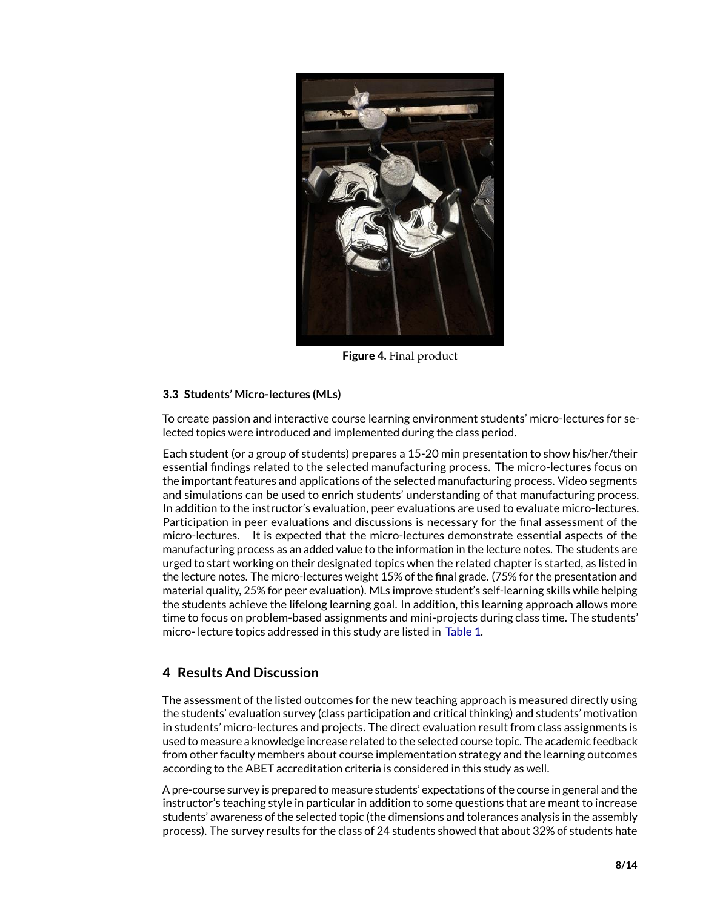

**Figure 4.** Final product

### <span id="page-7-0"></span>**3.3 Students' Micro-lectures (MLs)**

To create passion and interactive course learning environment students' micro-lectures for selected topics were introduced and implemented during the class period.

Each student (or a group of students) prepares a 15-20 min presentation to show his/her/their essential findings related to the selected manufacturing process. The micro-lectures focus on the important features and applications of the selected manufacturing process. Video segments and simulations can be used to enrich students' understanding of that manufacturing process. In addition to the instructor's evaluation, peer evaluations are used to evaluate micro-lectures. Participation in peer evaluations and discussions is necessary for the final assessment of the micro-lectures. It is expected that the micro-lectures demonstrate essential aspects of the manufacturing process as an added value to the information in the lecture notes. The students are urged to start working on their designated topics when the related chapter is started, as listed in the lecture notes. The micro-lectures weight 15% of the final grade. (75% for the presentation and material quality, 25% for peer evaluation). MLs improve student's self-learning skills while helping the students achieve the lifelong learning goal. In addition, this learning approach allows more time to focus on problem-based assignments and mini-projects during class time. The students' micro- lecture topics addressed in this study are listed in [Table 1.](#page-8-0)

### **4 Results And Discussion**

The assessment of the listed outcomes for the new teaching approach is measured directly using the students' evaluation survey (class participation and critical thinking) and students' motivation in students' micro-lectures and projects. The direct evaluation result from class assignments is used to measure a knowledge increase related to the selected course topic. The academic feedback from other faculty members about course implementation strategy and the learning outcomes according to the ABET accreditation criteria is considered in this study as well.

A pre-course survey is prepared to measure students' expectations of the course in general and the instructor's teaching style in particular in addition to some questions that are meant to increase students' awareness of the selected topic (the dimensions and tolerances analysis in the assembly process). The survey results for the class of 24 students showed that about 32% of students hate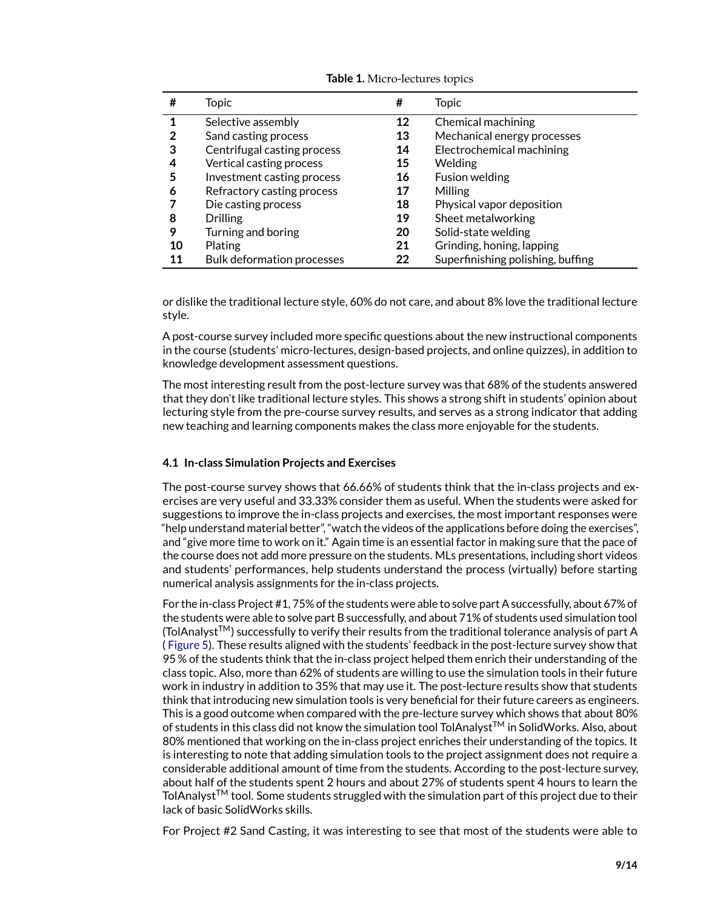| #  | <b>Topic</b>                      | #  | <b>Topic</b>                      |
|----|-----------------------------------|----|-----------------------------------|
|    | Selective assembly                | 12 | Chemical machining                |
| 2  | Sand casting process              | 13 | Mechanical energy processes       |
| 3  | Centrifugal casting process       | 14 | Electrochemical machining         |
| 4  | Vertical casting process          | 15 | Welding                           |
| 5  | Investment casting process        | 16 | Fusion welding                    |
| 6  | Refractory casting process        | 17 | Milling                           |
|    | Die casting process               | 18 | Physical vapor deposition         |
| 8  | <b>Drilling</b>                   | 19 | Sheet metalworking                |
| 9  | Turning and boring                | 20 | Solid-state welding               |
| 10 | <b>Plating</b>                    | 21 | Grinding, honing, lapping         |
| 11 | <b>Bulk deformation processes</b> | 22 | Superfinishing polishing, buffing |

<span id="page-8-0"></span>**Table 1.** Micro-lectures topics

or dislike the traditional lecture style, 60% do not care, and about 8% love the traditional lecture style.

A post-course survey included more specific questions about the new instructional components in the course (students' micro-lectures, design-based projects, and online quizzes), in addition to knowledge development assessment questions.

The most interesting result from the post-lecture survey was that 68% of the students answered that they don't like traditional lecture styles. This shows a strong shift in students' opinion about lecturing style from the pre-course survey results, and serves as a strong indicator that adding new teaching and learning components makes the class more enjoyable for the students.

### **4.1 In-class Simulation Projects and Exercises**

The post-course survey shows that 66.66% of students think that the in-class projects and exercises are very useful and 33.33% consider them as useful. When the students were asked for suggestions to improve the in-class projects and exercises, the most important responses were "help understand material better", "watch the videos of the applications before doing the exercises", and "give more time to work on it." Again time is an essential factor in making sure that the pace of the course does not add more pressure on the students. MLs presentations, including short videos and students' performances, help students understand the process (virtually) before starting numerical analysis assignments for the in-class projects.

For the in-class Project #1, 75% of the students were able to solve part A successfully, about 67% of the students were able to solve part B successfully, and about 71% of students used simulation tool (TolAnalystTM) successfully to verify their results from the traditional tolerance analysis of part A ( [Figure 5\)](#page-9-0). These results aligned with the students' feedback in the post-lecture survey show that 95 % of the students think that the in-class project helped them enrich their understanding of the class topic. Also, more than 62% of students are willing to use the simulation tools in their future work in industry in addition to 35% that may use it. The post-lecture results show that students think that introducing new simulation tools is very beneficial for their future careers as engineers. This is a good outcome when compared with the pre-lecture survey which shows that about 80% of students in this class did not know the simulation tool TolAnalyst<sup>TM</sup> in SolidWorks. Also, about 80% mentioned that working on the in-class project enriches their understanding of the topics. It is interesting to note that adding simulation tools to the project assignment does not require a considerable additional amount of time from the students. According to the post-lecture survey, about half of the students spent 2 hours and about 27% of students spent 4 hours to learn the TolAnalyst<sup>TM</sup> tool. Some students struggled with the simulation part of this project due to their lack of basic SolidWorks skills.

For Project #2 Sand Casting, it was interesting to see that most of the students were able to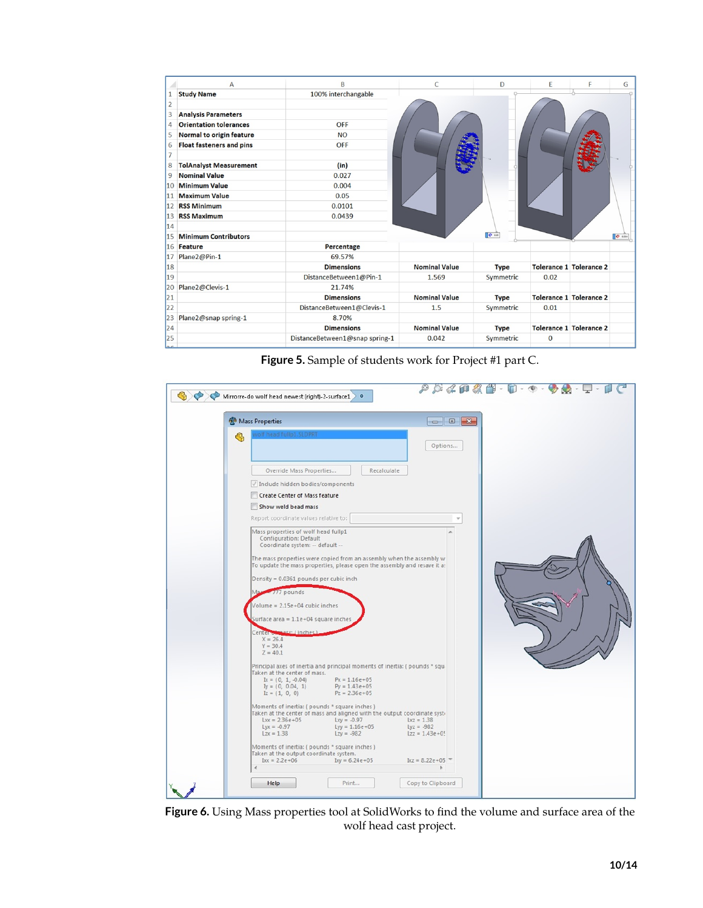|                                   | B<br>$\mathsf{A}$               |                                |                      | D           | E           | F                              | G     |
|-----------------------------------|---------------------------------|--------------------------------|----------------------|-------------|-------------|--------------------------------|-------|
| <b>Study Name</b><br>$\mathbf{1}$ |                                 | 100% interchangable            |                      |             |             |                                |       |
| $\overline{2}$                    |                                 |                                |                      |             |             |                                |       |
| 3                                 | <b>Analysis Parameters</b>      |                                |                      |             |             |                                |       |
| 4                                 | <b>Orientation tolerances</b>   | <b>OFF</b>                     |                      |             |             |                                |       |
| 5                                 | <b>Normal to origin feature</b> | <b>NO</b>                      |                      |             |             |                                |       |
| 6                                 | <b>Float fasteners and pins</b> | <b>OFF</b>                     |                      |             |             |                                |       |
| $\overline{7}$                    |                                 |                                |                      |             |             |                                |       |
| 8                                 | <b>TolAnalyst Measurement</b>   | (in)                           |                      |             |             |                                |       |
| 9                                 | <b>Nominal Value</b>            | 0.027                          |                      |             |             |                                |       |
| 10                                | <b>Minimum Value</b>            | 0.004                          |                      |             |             |                                |       |
| 11                                | <b>Maximum Value</b>            | 0.05                           |                      |             |             |                                |       |
| 12                                | <b>RSS Minimum</b>              | 0.0101                         |                      |             |             |                                |       |
| 13 <sup>13</sup>                  | <b>RSS Maximum</b>              | 0.0439                         |                      |             |             |                                |       |
| 14                                |                                 |                                |                      |             |             |                                |       |
| 15                                | <b>Minimum Contributors</b>     |                                |                      | $\sigma$ as |             |                                | 0 004 |
| 16                                | <b>Feature</b>                  | Percentage                     |                      |             |             |                                |       |
| 17                                | Plane2@Pin-1                    | 69.57%                         |                      |             |             |                                |       |
| 18                                |                                 | <b>Dimensions</b>              | <b>Nominal Value</b> | <b>Type</b> |             | <b>Tolerance 1 Tolerance 2</b> |       |
| 19                                |                                 | DistanceBetween1@Pin-1         | 1.569                | Symmetric   | 0.02        |                                |       |
| 20                                | Plane2@Clevis-1                 | 21.74%                         |                      |             |             |                                |       |
| 21                                |                                 | <b>Dimensions</b>              | <b>Nominal Value</b> | <b>Type</b> |             | <b>Tolerance 1 Tolerance 2</b> |       |
| 22                                |                                 | DistanceBetween1@Clevis-1      | 1.5                  | Symmetric   | 0.01        |                                |       |
| 23                                | Plane2@snap spring-1            | 8.70%                          |                      |             |             |                                |       |
| 24                                |                                 | <b>Dimensions</b>              | <b>Nominal Value</b> | <b>Type</b> |             | <b>Tolerance 1 Tolerance 2</b> |       |
| 25                                |                                 | DistanceBetween1@snap spring-1 | 0.042                | Symmetric   | $\mathbf 0$ |                                |       |
|                                   |                                 |                                |                      |             |             |                                |       |

<span id="page-9-0"></span>**Figure 5.** Sample of students work for Project #1 part C.

| <b>Nass Properties</b>                                                                                                                           |                              |
|--------------------------------------------------------------------------------------------------------------------------------------------------|------------------------------|
| wolf head fullp1.SLDPRT                                                                                                                          |                              |
|                                                                                                                                                  | Options                      |
| Recalculate<br>Override Mass Properties                                                                                                          |                              |
| Include hidden bodies/components                                                                                                                 |                              |
| Create Center of Mass feature                                                                                                                    |                              |
| Show weld bead mass                                                                                                                              |                              |
| Report coordinate values relative to:                                                                                                            |                              |
| Mass properties of wolf head fullp1<br>Configuration: Default<br>Coordinate system: -- default --                                                |                              |
| The mass properties were copied from an assembly when the assembly w<br>To update the mass properties, please open the assembly and resave it a: |                              |
| Density = 0.0361 pounds per cubic inch                                                                                                           |                              |
| 777 pounds                                                                                                                                       |                              |
| Volume = $2.15e+04$ cubic inches                                                                                                                 |                              |
| Surface area = $1.1e+04$ square inches                                                                                                           |                              |
| Center of Passe (inches)                                                                                                                         |                              |
| $X = 26.4$<br>$Y = 30.4$                                                                                                                         |                              |
| $Z = 40.1$                                                                                                                                       |                              |
| Principal axes of inertia and principal moments of inertia: (pounds * squ<br>Taken at the center of mass.                                        |                              |
| $Ix = (0, 1, -0.04)$<br>$Px = 1.16e + 05$<br>$Iy = (0, 0.04, 1)$<br>$Py = 1.43e + 05$                                                            |                              |
| $Pz = 2.36e + 05$<br>$Iz = (1, 0, 0)$                                                                                                            |                              |
| Moments of inertia: (pounds * square inches)<br>Taken at the center of mass and aligned with the output coordinate syst-                         |                              |
| $Lxx = 2.36e + 05$<br>$Lxy = -0.97$                                                                                                              | $Lxz = 1.38$<br>$Lyz = -982$ |
| $Lyx = -0.97$<br>$Lyy = 1.16e + 05$<br>$Lzx = 1.38$<br>$Lzy = -982$                                                                              | $Lzz = 1.43e + 0!$           |
| Moments of inertia: (pounds * square inches)                                                                                                     |                              |
| Taken at the output coordinate system.<br>$b\alpha = 2.2e + 06$<br>$bxy = 6.24e + 05$                                                            | $bxz = 8.22e + 05$           |

<span id="page-9-1"></span>**Figure 6.** Using Mass properties tool at SolidWorks to find the volume and surface area of the wolf head cast project.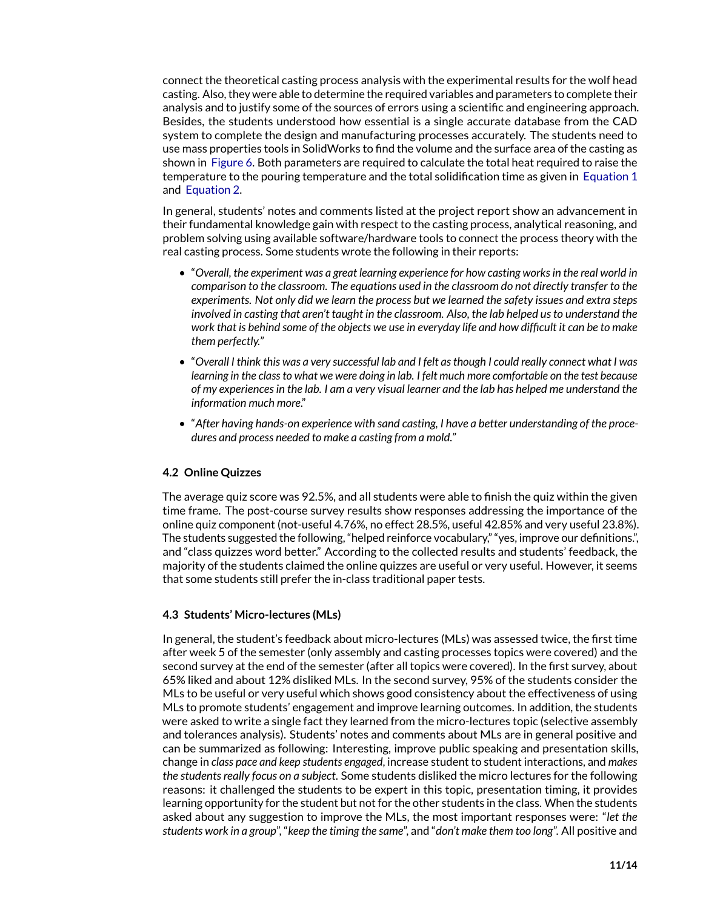connect the theoretical casting process analysis with the experimental results for the wolf head casting. Also, they were able to determine the required variables and parameters to complete their analysis and to justify some of the sources of errors using a scientific and engineering approach. Besides, the students understood how essential is a single accurate database from the CAD system to complete the design and manufacturing processes accurately. The students need to use mass properties tools in SolidWorks to find the volume and the surface area of the casting as shown in [Figure 6.](#page-9-1) Both parameters are required to calculate the total heat required to raise the temperature to the pouring temperature and the total solidification time as given in [Equation 1](#page-5-0) and [Equation 2.](#page-5-0)

In general, students' notes and comments listed at the project report show an advancement in their fundamental knowledge gain with respect to the casting process, analytical reasoning, and problem solving using available software/hardware tools to connect the process theory with the real casting process. Some students wrote the following in their reports:

- "*Overall, the experiment was a great learning experience for how casting works in the real world in comparison to the classroom. The equations used in the classroom do not directly transfer to the experiments. Not only did we learn the process but we learned the safety issues and extra steps involved in casting that aren't taught in the classroom. Also, the lab helped us to understand the work that is behind some of the objects we use in everyday life and how difficult it can be to make them perfectly.*"
- "*Overall I think this was a very successful lab and I felt as though I could really connect what I was learning in the class to what we were doing in lab. I felt much more comfortable on the test because of my experiences in the lab. I am a very visual learner and the lab has helped me understand the information much more*."
- "*After having hands-on experience with sand casting, I have a better understanding of the procedures and process needed to make a casting from a mold.*"

### **4.2 Online Quizzes**

The average quiz score was 92.5%, and all students were able to finish the quiz within the given time frame. The post-course survey results show responses addressing the importance of the online quiz component (not-useful 4.76%, no effect 28.5%, useful 42.85% and very useful 23.8%). The students suggested the following, "helped reinforce vocabulary," "yes, improve our definitions.", and "class quizzes word better." According to the collected results and students' feedback, the majority of the students claimed the online quizzes are useful or very useful. However, it seems that some students still prefer the in-class traditional paper tests.

#### **4.3 Students' Micro-lectures (MLs)**

In general, the student's feedback about micro-lectures (MLs) was assessed twice, the first time after week 5 of the semester (only assembly and casting processes topics were covered) and the second survey at the end of the semester (after all topics were covered). In the first survey, about 65% liked and about 12% disliked MLs. In the second survey, 95% of the students consider the MLs to be useful or very useful which shows good consistency about the effectiveness of using MLs to promote students' engagement and improve learning outcomes. In addition, the students were asked to write a single fact they learned from the micro-lectures topic (selective assembly and tolerances analysis). Students' notes and comments about MLs are in general positive and can be summarized as following: Interesting, improve public speaking and presentation skills, change in *class pace and keep students engaged*, increase student to student interactions, and *makes the students really focus on a subject*. Some students disliked the micro lectures for the following reasons: it challenged the students to be expert in this topic, presentation timing, it provides learning opportunity for the student but not for the other students in the class. When the students asked about any suggestion to improve the MLs, the most important responses were: "*let the students work in a group*", "*keep the timing the same*", and "*don't make them too long*". All positive and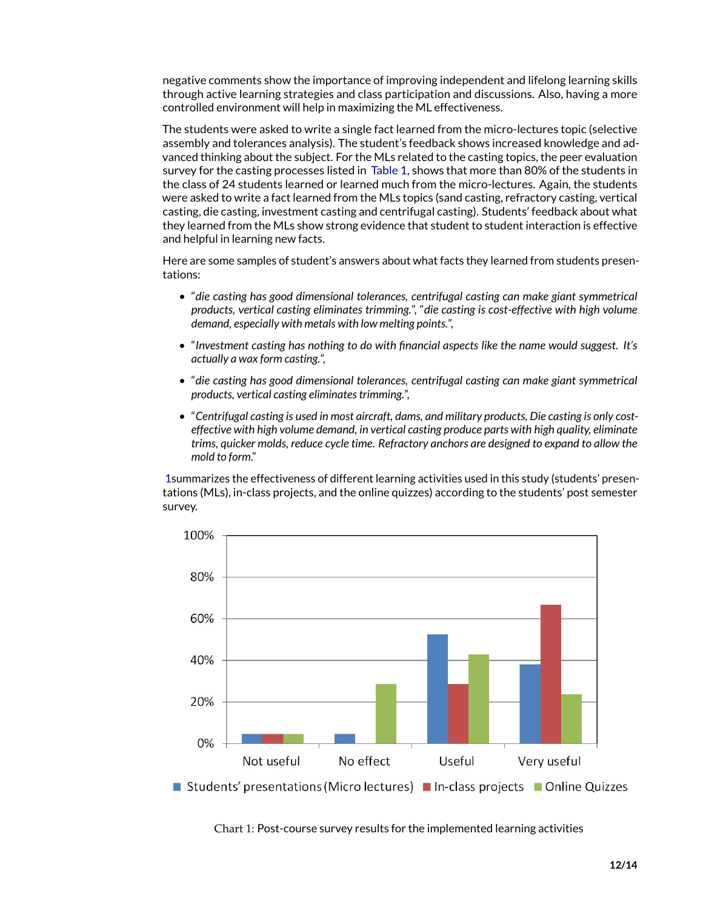negative comments show the importance of improving independent and lifelong learning skills through active learning strategies and class participation and discussions. Also, having a more controlled environment will help in maximizing the ML effectiveness.

The students were asked to write a single fact learned from the micro-lectures topic (selective assembly and tolerances analysis). The student's feedback shows increased knowledge and advanced thinking about the subject. For the MLs related to the casting topics, the peer evaluation survey for the casting processes listed in [Table 1,](#page-8-0) shows that more than 80% of the students in the class of 24 students learned or learned much from the micro-lectures. Again, the students were asked to write a fact learned from the MLs topics (sand casting, refractory casting, vertical casting, die casting, investment casting and centrifugal casting). Students' feedback about what they learned from the MLs show strong evidence that student to student interaction is effective and helpful in learning new facts.

Here are some samples of student's answers about what facts they learned from students presentations:

- "*die casting has good dimensional tolerances, centrifugal casting can make giant symmetrical products, vertical casting eliminates trimming.*", "*die casting is cost-effective with high volume demand, especially with metals with low melting points.*",
- "*Investment casting has nothing to do with financial aspects like the name would suggest. It's actually a wax form casting.*",
- "*die casting has good dimensional tolerances, centrifugal casting can make giant symmetrical products, vertical casting eliminates trimming.*",
- "*Centrifugal casting is used in most aircraft, dams, and military products, Die casting is only costeffective with high volume demand, in vertical casting produce parts with high quality, eliminate trims, quicker molds, reduce cycle time. Refractory anchors are designed to expand to allow the mold to form*."

[1s](#page-11-0)ummarizes the effectiveness of different learning activities used in this study (students' presentations (MLs), in-class projects, and the online quizzes) according to the students' post semester survey.

<span id="page-11-0"></span>

Chart 1: Post-course survey results for the implemented learning activities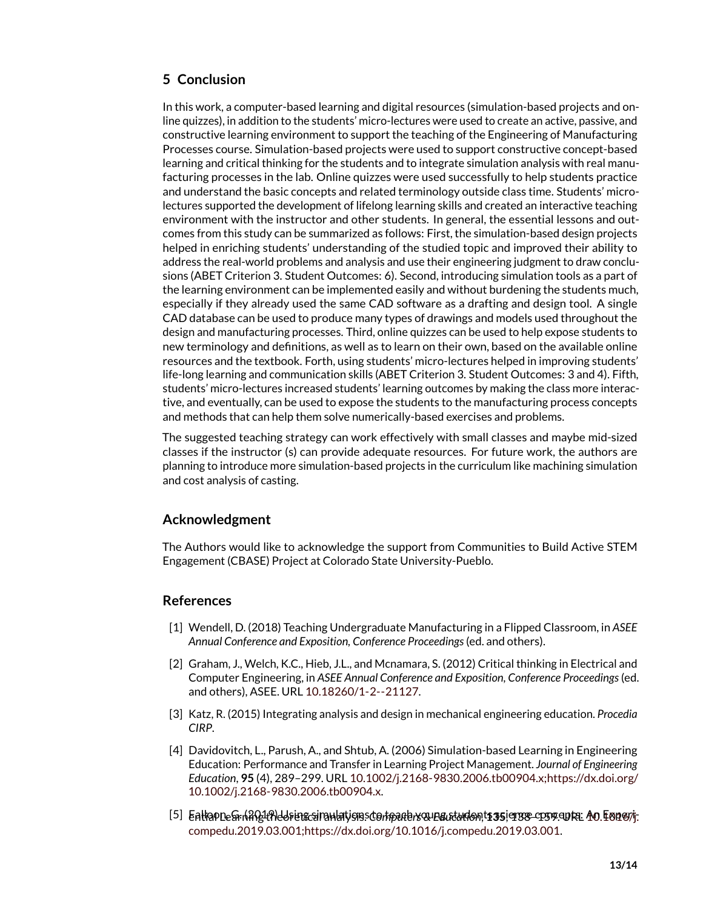### **5 Conclusion**

In this work, a computer-based learning and digital resources (simulation-based projects and online quizzes), in addition to the students' micro-lectures were used to create an active, passive, and constructive learning environment to support the teaching of the Engineering of Manufacturing Processes course. Simulation-based projects were used to support constructive concept-based learning and critical thinking for the students and to integrate simulation analysis with real manufacturing processes in the lab. Online quizzes were used successfully to help students practice and understand the basic concepts and related terminology outside class time. Students' microlectures supported the development of lifelong learning skills and created an interactive teaching environment with the instructor and other students. In general, the essential lessons and outcomes from this study can be summarized as follows: First, the simulation-based design projects helped in enriching students' understanding of the studied topic and improved their ability to address the real-world problems and analysis and use their engineering judgment to draw conclusions (ABET Criterion 3. Student Outcomes: 6). Second, introducing simulation tools as a part of the learning environment can be implemented easily and without burdening the students much, especially if they already used the same CAD software as a drafting and design tool. A single CAD database can be used to produce many types of drawings and models used throughout the design and manufacturing processes. Third, online quizzes can be used to help expose students to new terminology and definitions, as well as to learn on their own, based on the available online resources and the textbook. Forth, using students' micro-lectures helped in improving students' life-long learning and communication skills (ABET Criterion 3. Student Outcomes: 3 and 4). Fifth, students' micro-lectures increased students' learning outcomes by making the class more interactive, and eventually, can be used to expose the students to the manufacturing process concepts and methods that can help them solve numerically-based exercises and problems.

The suggested teaching strategy can work effectively with small classes and maybe mid-sized classes if the instructor (s) can provide adequate resources. For future work, the authors are planning to introduce more simulation-based projects in the curriculum like machining simulation and cost analysis of casting.

### **Acknowledgment**

The Authors would like to acknowledge the support from Communities to Build Active STEM Engagement (CBASE) Project at Colorado State University-Pueblo.

### **References**

- [1] Wendell, D. (2018) Teaching Undergraduate Manufacturing in a Flipped Classroom, in *ASEE Annual Conference and Exposition, Conference Proceedings*(ed. and others).
- <span id="page-12-0"></span>[2] Graham, J., Welch, K.C., Hieb, J.L., and Mcnamara, S. (2012) Critical thinking in Electrical and Computer Engineering, in *ASEE Annual [Conferen](10.18260/1-2--21127)ce and Exposition, Conference Proceedings*(ed. and others), ASEE. URL 10.18260/1-2--21127.
- <span id="page-12-1"></span>[3] Katz, R. (2015) Integrating analysis and design in mechanical engineering education. *Procedia CIRP*.
- <span id="page-12-2"></span>[4] Davidovitch, L., Parush, A., and Shtub, A. (2006) Simulation-based Learning in Engineering Education: Performance and Transfer in Learning Project [Management.](10.1002/j.2168-9830.2006.tb00904.x; https://dx.doi.org/10.1002/j.2168-9830.2006.tb00904.x) *Journal of Engineering Education*, **95** (4), [289–299.](10.1002/j.2168-9830.2006.tb00904.x; https://dx.doi.org/10.1002/j.2168-9830.2006.tb00904.x) URL 10.1002/j.2168-9830.2006.tb00904.x;https://dx.doi.org/ 10.1002/j.2168-9830.2006.tb00904.x.
- <span id="page-12-3"></span>[5] Ea<del>ll</del>aone&nh<del>?hYt?lddsien&ci</del>nanlatysis:co/tipade/xounautandon;t**iss**iensr&cosop.enta: An Emeryj<del>.</del> [compedu.2019.03.001;https://dx.doi.org/10.1016/j.compedu.2019.03.001.](10.1016/j.compedu.2019.03.001; https://dx.doi.org/10.1016/j.compedu.2019.03.001)